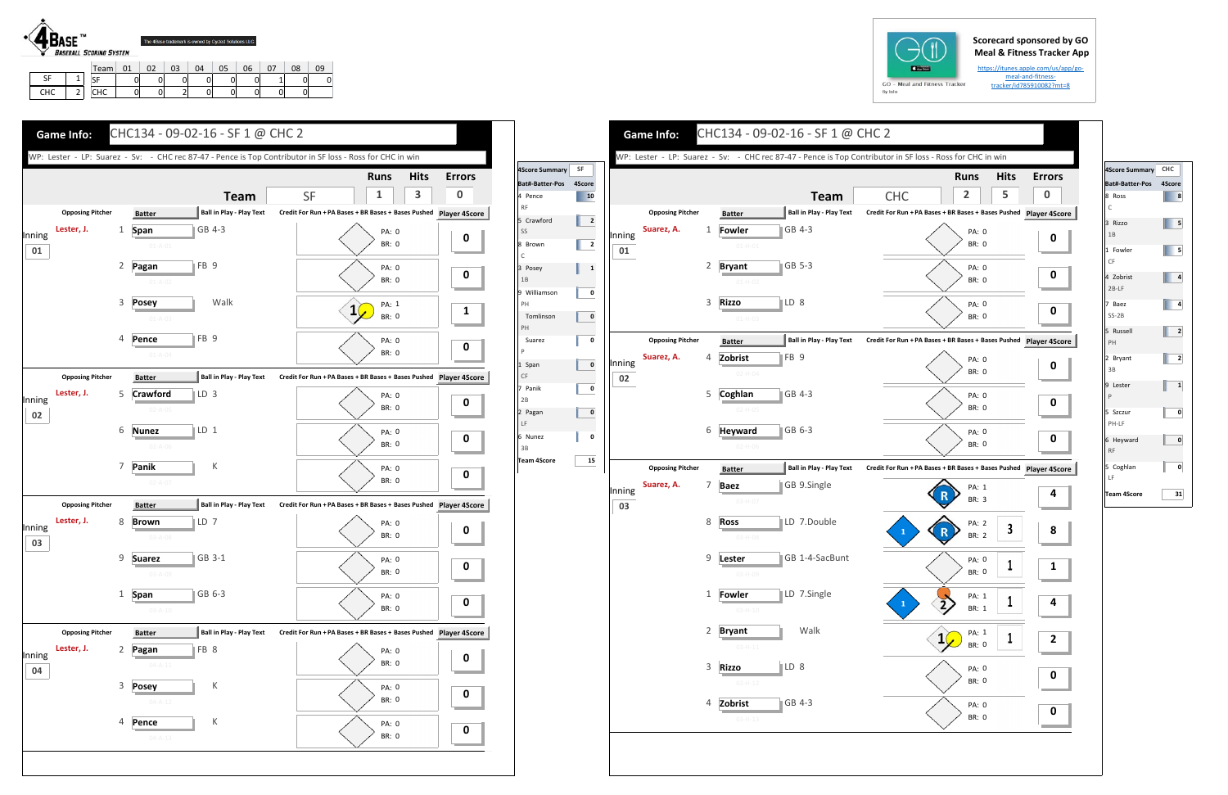## **Scorecard sponsored by GO Meal & Fitness Tracker App**

https://itunes.apple.com/us/app/go‐ meal‐and‐fitness‐ tracker/id785910082?mt=8



CHC

2

SF | 0 0 0 0 0 0 0 1 0 0 CHC | 0| 0| 2| 0| 0| 0| 0| 0

| $GO -$<br>M |
|-------------|
| By Iolo     |

|                        |                |        |                         |                |                            | WP: Lester - LP: Suarez - Sv: - CHC rec 87-47 - Pence is Top Contributor in SF loss - Ross for CHC in win |                                                               |                              |              |          |
|------------------------|----------------|--------|-------------------------|----------------|----------------------------|-----------------------------------------------------------------------------------------------------------|---------------------------------------------------------------|------------------------------|--------------|----------|
| core Summary           | SF             |        |                         |                |                            |                                                                                                           |                                                               | <b>Runs</b>                  | <b>Hits</b>  | Erro     |
| t#-Batter-Pos<br>Pence | 4Score<br>10   |        |                         |                |                            | <b>Team</b>                                                                                               | <b>CHC</b>                                                    | 2                            | 5            | $\bf{0}$ |
|                        |                |        | <b>Opposing Pitcher</b> |                | <b>Batter</b>              | <b>Ball in Play - Play Text</b>                                                                           | Credit For Run + PA Bases + BR Bases + Bases Pushed Player 4S |                              |              |          |
| Crawford               | $\overline{2}$ |        | Suarez, A.              | 1              | Fowler                     | GB 4-3                                                                                                    |                                                               | PA: 0                        |              |          |
| Brown                  | $\overline{2}$ | Inning |                         |                | $01-H-01$                  |                                                                                                           |                                                               | <b>BR: 0</b>                 |              | 0        |
|                        |                | 01     |                         | 2              |                            | $\parallel$ GB 5-3                                                                                        |                                                               |                              |              |          |
| Posey<br>В             | 1              |        |                         |                | <b>Bryant</b><br>$01-H-02$ |                                                                                                           |                                                               | <b>PA: 0</b><br><b>BR: 0</b> |              | 0        |
| Williamson             | 0              |        |                         |                |                            |                                                                                                           |                                                               |                              |              |          |
| Н<br>Tomlinson         | 0              |        |                         | 3              | <b>Rizzo</b>               | ∥LD 8                                                                                                     |                                                               | <b>PA: 0</b><br><b>BR: 0</b> |              | 0        |
| Н                      |                |        |                         |                | $01-H-03$                  |                                                                                                           |                                                               |                              |              |          |
| Suarez                 | 0              |        | <b>Opposing Pitcher</b> |                | <b>Batter</b>              | <b>Ball in Play - Play Text</b>                                                                           | Credit For Run + PA Bases + BR Bases + Bases Pushed Player 49 |                              |              |          |
| Span                   | 0              | Inning | Suarez, A.              | 4              | Zobrist                    | $ FB$ 9                                                                                                   |                                                               | <b>PA: 0</b>                 |              | O        |
|                        |                | 02     |                         |                | $02 - H - 04$              |                                                                                                           |                                                               | <b>BR: 0</b>                 |              |          |
| Panik<br>В             | 0              |        |                         | 5              | Coghlan                    | GB 4-3                                                                                                    |                                                               | PA: 0                        |              |          |
| Pagan                  | 0              |        |                         |                | $02-H-05$                  |                                                                                                           |                                                               | <b>BR: 0</b>                 |              | 0        |
|                        |                |        |                         | 6              | <b>Heyward</b>             | $\overline{6B}$ 6-3                                                                                       |                                                               | <b>PA: 0</b>                 |              |          |
| Nunez<br>B             | 0              |        |                         |                | $02-H-06$                  |                                                                                                           |                                                               | <b>BR: 0</b>                 |              | 0        |
| am 4Score              | 15             |        | <b>Opposing Pitcher</b> |                |                            | <b>Ball in Play - Play Text</b>                                                                           | Credit For Run + PA Bases + BR Bases + Bases Pushed Player 49 |                              |              |          |
|                        |                |        | Suarez, A.              | 7              | <b>Batter</b>              | GB 9.Single                                                                                               |                                                               |                              |              |          |
|                        |                | Inning |                         |                | <b>Baez</b><br>03-H-07     |                                                                                                           |                                                               | PA: 1<br><b>BR: 3</b>        |              | 4        |
|                        |                | 03     |                         |                |                            |                                                                                                           |                                                               |                              |              |          |
|                        |                |        |                         | 8              | <b>Ross</b>                | LD 7.Double                                                                                               | 1                                                             | PA: 2<br>R<br><b>BR: 2</b>   | 3            | 8        |
|                        |                |        |                         |                | 03-H-08                    |                                                                                                           |                                                               |                              |              |          |
|                        |                |        |                         | 9              | Lester                     | GB 1-4-SacBunt                                                                                            |                                                               | PA: 0                        | T            | 1        |
|                        |                |        |                         |                | $03 - H - 09$              |                                                                                                           |                                                               | BR: 0                        |              |          |
|                        |                |        |                         |                | 1 Fowler                   | LD 7.Single                                                                                               |                                                               | PA: 1                        | $\mathbf{1}$ | 4        |
|                        |                |        |                         |                | $03 - H - 10$              |                                                                                                           |                                                               | BR: 1                        |              |          |
|                        |                |        |                         | $\overline{2}$ | <b>Bryant</b>              | Walk                                                                                                      |                                                               | PA: 1                        | 1            |          |
|                        |                |        |                         |                | $03 - H - 11$              |                                                                                                           |                                                               | BR: 0                        |              | 2        |
|                        |                |        |                         | 3              | <b>Rizzo</b>               | $\mathbb{ID} 8$                                                                                           |                                                               | PA: 0                        |              |          |
|                        |                |        |                         |                | $03-H-12$                  |                                                                                                           |                                                               | BR: 0                        |              | 0        |
|                        |                |        |                         | 4              | Zobrist                    | GB 4-3                                                                                                    |                                                               | PA: 0                        |              |          |
|                        |                |        |                         |                | $03 - H - 13$              |                                                                                                           |                                                               | BR: 0                        |              | 0        |







| 4Score Summary           | CHC            |
|--------------------------|----------------|
| Bat#-Batter-Pos          | 4Score         |
| 8 Ross<br>$\mathsf{C}$   | 8              |
| 3 Rizzo<br>1B            | 5              |
| 1 Fowler<br>CF           | 5              |
| 4 Zobrist<br>$2B-LF$     | 4              |
| 7 Baez<br>$SS-2B$        | 4              |
| 5 Russell<br>PH          | $\overline{2}$ |
| 2 Bryant<br>3B           | 2              |
| 9 Lester<br>$\mathsf{P}$ | 1              |
| 5 Szczur<br>PH-LF        | 0              |
| 6 Heyward<br><b>RF</b>   | 0              |
| 5 Coghlan<br>LF          | 0              |
| <b>Team 4Score</b>       | 31             |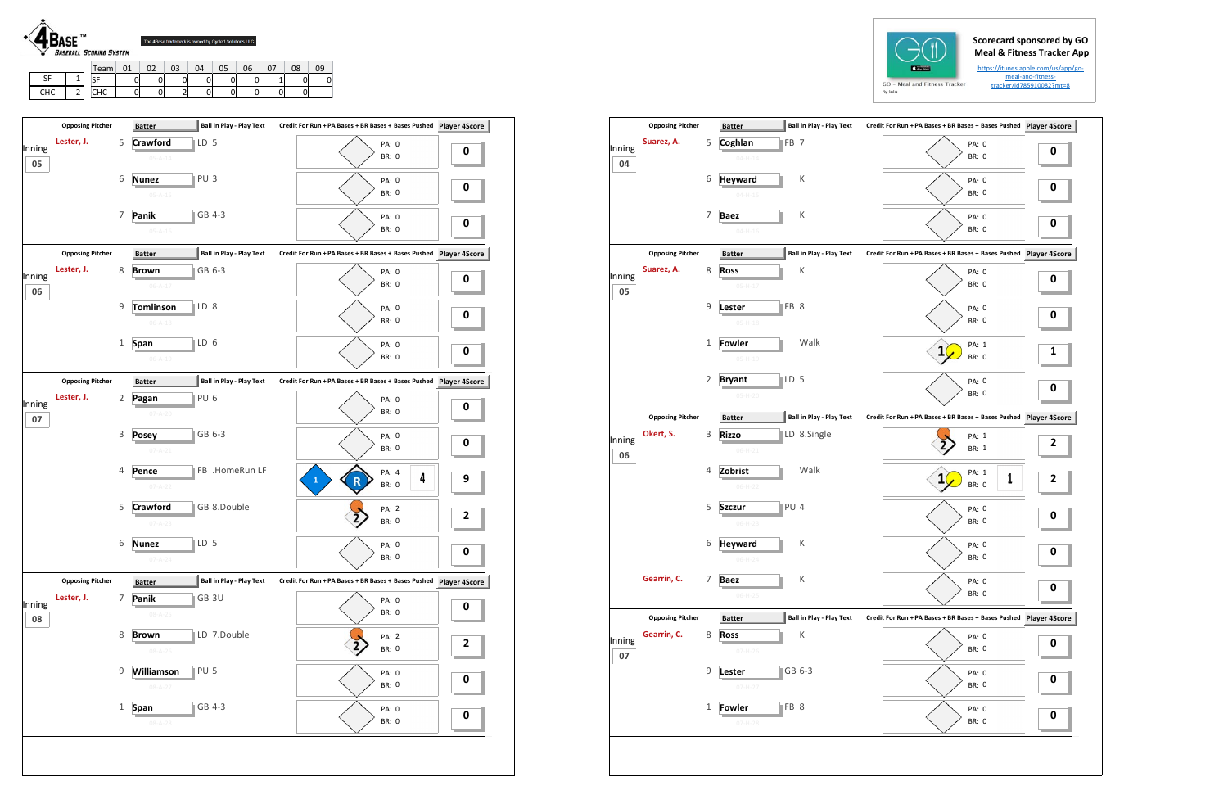## **Scorecard sponsored by GO Meal & Fitness Tracker App**

https://itunes.apple.com/us/app/gomeal‐and‐fitness‐ tracker/id785910082?mt=8



CHC | 2

 $CHC$  0 0 2 0 0 0 0

**Opposing Pitcher Batter Ball in Play ‐ Play Text Batter Credit For Run + PA Bases + BR Bases + Bases Pushed Player 4Score**

 $\sim$   $\sqrt{2}$ 

|              |                         |                |                                               |                                 | <u>tracker/id/85910082?</u><br>By Iolo                        |          |
|--------------|-------------------------|----------------|-----------------------------------------------|---------------------------------|---------------------------------------------------------------|----------|
|              | <b>Opposing Pitcher</b> |                | <b>Batter</b>                                 | <b>Ball in Play - Play Text</b> | Credit For Run + PA Bases + BR Bases + Bases Pushed Player 4S |          |
| Inning<br>04 | Suarez, A.              | 5              | FB <sub>7</sub><br>Coghlan<br>$04 - H - 14$   |                                 | PA: 0<br>BR: 0                                                | 0        |
|              |                         | 6              | <b>Heyward</b><br>$04 - H - 15$               | К                               | PA: 0<br>BR: 0                                                | 0        |
|              |                         | 7              | <b>Baez</b><br>$04-H-16$                      | К                               | <b>PA: 0</b><br>BR: 0                                         | 0        |
|              | <b>Opposing Pitcher</b> |                | <b>Batter</b>                                 | <b>Ball in Play - Play Text</b> | Credit For Run + PA Bases + BR Bases + Bases Pushed Player 4S |          |
| Inning<br>05 | Suarez, A.              | 8              | <b>Ross</b><br>$05-H-17$                      | К                               | PA: 0<br><b>BR: 0</b>                                         | 0        |
|              |                         | 9              | FB <sub>8</sub><br>Lester<br>$05 - H - 18$    |                                 | PA: 0<br><b>BR: 0</b>                                         | 0        |
|              |                         | 1              | <b>Fowler</b><br>$05-H-19$                    | Walk                            | PA: 1<br>1<br><b>BR: 0</b>                                    | <u>1</u> |
|              |                         | 2              | LD <sub>5</sub><br><b>Bryant</b><br>$05-H-20$ |                                 | PA: 0<br><b>BR: 0</b>                                         | 0        |
|              | <b>Opposing Pitcher</b> |                | <b>Batter</b>                                 | <b>Ball in Play - Play Text</b> | Credit For Run + PA Bases + BR Bases + Bases Pushed Player 4S |          |
| Inning<br>06 | Okert, S.               | 3              | <b>Rizzo</b><br>$06 - H - 21$                 | LD 8.Single                     | PA: 1<br><b>BR: 1</b>                                         | 2        |
|              |                         | 4              | Zobrist<br>$06-H-22$                          | Walk                            | PA: 1<br>1<br>1<br><b>BR: 0</b>                               | 2        |
|              |                         | 5              | PU <sub>4</sub><br><b>Szczur</b><br>$06-H-23$ |                                 | PA: 0<br><b>BR: 0</b>                                         | 0        |
|              |                         | 6              | Heyward<br>$06 - H - 24$                      | К                               | PA: 0<br>BR: 0                                                | 0        |
|              | Gearrin, C.             | $\overline{7}$ | <b>Baez</b><br>$06-H-25$                      | К                               | PA: 0<br><b>BR: 0</b>                                         | 0        |
|              | <b>Opposing Pitcher</b> |                | <b>Batter</b>                                 | <b>Ball in Play - Play Text</b> | Credit For Run + PA Bases + BR Bases + Bases Pushed Player 4S |          |
| Inning<br>07 | Gearrin, C.             | 8              | <b>Ross</b><br>$07 - H - 26$                  | К                               | PA: 0<br>BR: 0                                                | 0        |
|              |                         | 9              | Lester<br>$07-H-27$                           | GB 6-3                          | PA: 0<br>BR: 0                                                | 0        |
|              |                         | 1              | FB 8<br>Fowler<br>$07 - H - 28$               |                                 | PA: 0<br>BR: 0                                                | 0        |



| Inning       | Lester, J.              | 5     | <b>Crawford</b><br>LD <sub>5</sub><br>$05 - A - 14$ | PA: 0<br><b>BR: 0</b>                                                | 0            |
|--------------|-------------------------|-------|-----------------------------------------------------|----------------------------------------------------------------------|--------------|
| 05           |                         | 6     | PU <sub>3</sub><br><b>Nunez</b><br>$05 - A - 15$    | <b>PA: 0</b><br><b>BR: 0</b>                                         | 0            |
|              |                         | 7     | GB 4-3<br>Panik<br>$05 - A - 16$                    | <b>PA: 0</b><br><b>BR: 0</b>                                         | 0            |
|              | <b>Opposing Pitcher</b> |       | <b>Ball in Play - Play Text</b><br><b>Batter</b>    | Credit For Run + PA Bases + BR Bases + Bases Pushed Player 4Score    |              |
| Inning<br>06 | Lester, J.              | 8     | GB 6-3<br><b>Brown</b><br>$06 - A - 17$             | PA: 0<br><b>BR: 0</b>                                                | 0            |
|              |                         | 9     | <b>Tomlinson</b><br>LD 8<br>$06 - A - 18$           | PA: 0<br><b>BR: 0</b>                                                | 0            |
|              |                         | 1     | <b>Span</b><br>LD 6<br>$06 - A - 19$                | PA: 0<br><b>BR: 0</b>                                                | 0            |
|              | <b>Opposing Pitcher</b> |       | Ball in Play - Play Text<br><b>Batter</b>           | Credit For Run + PA Bases + BR Bases + Bases Pushed    Player 4Score |              |
| Inning<br>07 | Lester, J.              | 2     | PU <sub>6</sub><br>Pagan<br>$07 - A - 20$           | PA: 0<br>BR: 0                                                       | 0            |
|              |                         | 3     | GB 6-3<br><b>Posey</b><br>$07 - A - 21$             | PA: 0<br><b>BR: 0</b>                                                | 0            |
|              |                         | 4     | FB .HomeRun LF<br>Pence<br>$07 - A - 22$            | PA: 4<br>4<br>$\mathbf{1}$<br>R<br><b>BR: 0</b>                      | 9            |
|              |                         | 5     | Crawford<br>GB 8.Double<br>$07 - A - 23$            | PA: 2<br>BR: 0                                                       | 2            |
|              |                         | 6     | LD <sub>5</sub><br><b>Nunez</b><br>$07 - A - 24$    | PA: 0<br>BR: 0                                                       | 0            |
|              | <b>Opposing Pitcher</b> |       | <b>Ball in Play - Play Text</b><br><b>Batter</b>    | Credit For Run + PA Bases + BR Bases + Bases Pushed Player 4Score    |              |
| Inning<br>08 | Lester, J.              | 7     | GB 3U<br>Panik<br>$08 - A - 25$                     | PA: 0<br><b>BR: 0</b>                                                | 0            |
|              |                         | 8     | LD 7.Double<br><b>Brown</b><br>$08 - A - 26$        | PA: 2<br>BR: 0                                                       | $\mathbf{2}$ |
|              |                         | 9     | Williamson<br>PU <sub>5</sub><br>$08 - A - 27$      | PA: 0<br>BR: 0                                                       | 0            |
|              |                         | $1\,$ | GB 4-3<br>Span                                      | PA: 0<br><b>BR: 0</b>                                                | $\pmb{0}$    |